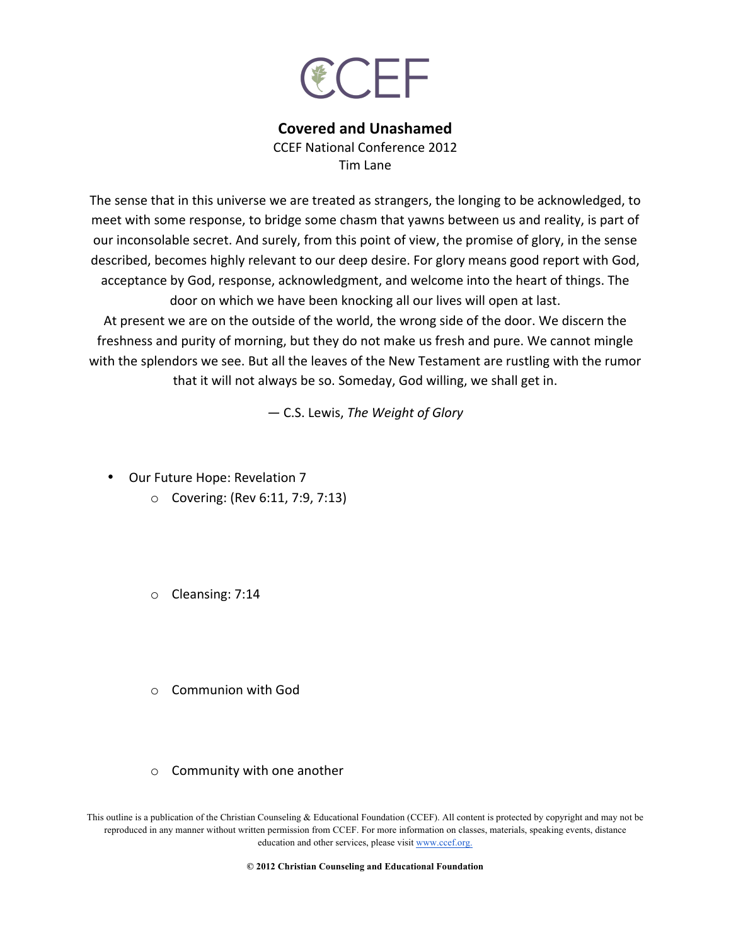

## **Covered and Unashamed**

CCFF National Conference 2012 Tim Lane

The sense that in this universe we are treated as strangers, the longing to be acknowledged, to meet with some response, to bridge some chasm that yawns between us and reality, is part of our inconsolable secret. And surely, from this point of view, the promise of glory, in the sense described, becomes highly relevant to our deep desire. For glory means good report with God, acceptance by God, response, acknowledgment, and welcome into the heart of things. The door on which we have been knocking all our lives will open at last.

At present we are on the outside of the world, the wrong side of the door. We discern the freshness and purity of morning, but they do not make us fresh and pure. We cannot mingle with the splendors we see. But all the leaves of the New Testament are rustling with the rumor that it will not always be so. Someday, God willing, we shall get in.

*―* C.S. Lewis, *The Weight of Glory*

• Our Future Hope: Revelation 7

- $\circ$  Covering: (Rev 6:11, 7:9, 7:13)
- $\circ$  Cleansing: 7:14
- $\circ$  Communion with God
- $\circ$  Community with one another

This outline is a publication of the Christian Counseling & Educational Foundation (CCEF). All content is protected by copyright and may not be reproduced in any manner without written permission from CCEF. For more information on classes, materials, speaking events, distance education and other services, please visit www.ccef.org.

**© 2012 Christian Counseling and Educational Foundation**